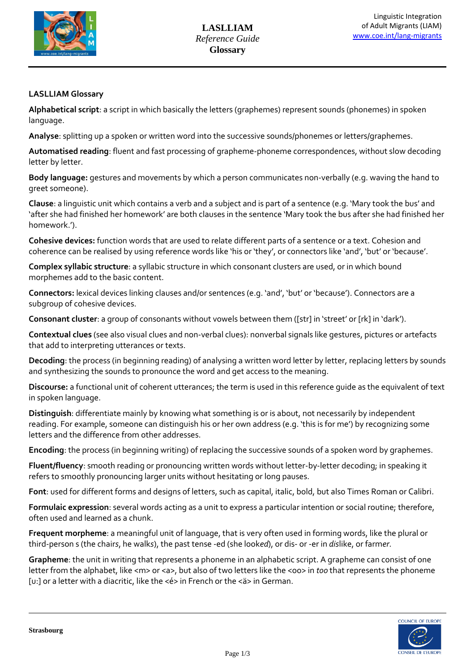

## **LASLLIAM Glossary**

**Alphabetical script**: a script in which basically the letters (graphemes) represent sounds (phonemes) in spoken language.

**Analyse**: splitting up a spoken or written word into the successive sounds/phonemes or letters/graphemes.

**Automatised reading**: fluent and fast processing of grapheme-phoneme correspondences, without slow decoding letter by letter.

**Body language:** gestures and movements by which a person communicates non-verbally (e.g. waving the hand to greet someone).

**Clause**: a linguistic unit which contains a verb and a subject and is part of a sentence (e.g. 'Mary took the bus' and 'after she had finished her homework' are both clauses in the sentence 'Mary took the bus after she had finished her homework.').

**Cohesive devices:** function words that are used to relate different parts of a sentence or a text. Cohesion and coherence can be realised by using reference words like 'his or 'they', or connectors like 'and', 'but' or 'because'.

**Complex syllabic structure**: a syllabic structure in which consonant clusters are used, or in which bound morphemes add to the basic content.

**Connectors:** lexical devices linking clauses and/or sentences (e.g. 'and', 'but' or 'because'). Connectors are a subgroup of cohesive devices.

**Consonant cluster**: a group of consonants without vowels between them ([str] in 'street' or [rk] in 'dark').

**Contextual clues** (see also visual clues and non-verbal clues): nonverbal signals like gestures, pictures or artefacts that add to interpreting utterances or texts.

**Decoding**: the process (in beginning reading) of analysing a written word letter by letter, replacing letters by sounds and synthesizing the sounds to pronounce the word and get access to the meaning.

**Discourse:** a functional unit of coherent utterances; the term is used in this reference guide as the equivalent of text in spoken language.

**Distinguish**: differentiate mainly by knowing what something is or is about, not necessarily by independent reading. For example, someone can distinguish his or her own address (e.g. 'this is for me') by recognizing some letters and the difference from other addresses.

**Encoding**: the process (in beginning writing) of replacing the successive sounds of a spoken word by graphemes.

**Fluent/fluency**: smooth reading or pronouncing written words without letter-by-letter decoding; in speaking it refers to smoothly pronouncing larger units without hesitating or long pauses.

**Font**: used for different forms and designs of letters, such as capital, italic, bold, but also Times Roman or Calibri.

**Formulaic expression**: several words acting as a unit to express a particular intention or social routine; therefore, often used and learned as a chunk.

**Frequent morpheme**: a meaningful unit of language, that is very often used in forming words, like the plural or third-person s (the chair*s*, he walk*s*), the past tense -ed (she look*ed*), or dis- or -er in *dis*like, or farm*er*.

**Grapheme**: the unit in writing that represents a phoneme in an alphabetic script. A grapheme can consist of one letter from the alphabet, like <m> or <a>, but also of two letters like the <oo> in *too* that represents the phoneme [u:] or a letter with a diacritic, like the <é> in French or the <ä> in German.

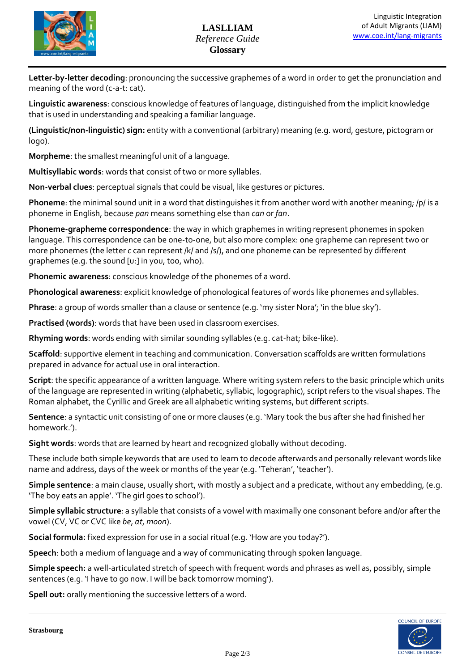

**Letter-by-letter decoding**: pronouncing the successive graphemes of a word in order to get the pronunciation and meaning of the word (c-a-t: cat).

**Linguistic awareness**: conscious knowledge of features of language, distinguished from the implicit knowledge that is used in understanding and speaking a familiar language.

**(Linguistic/non-linguistic) sign:** entity with a conventional (arbitrary) meaning (e.g. word, gesture, pictogram or logo).

**Morpheme**: the smallest meaningful unit of a language.

**Multisyllabic words**: words that consist of two or more syllables.

**Non-verbal clues**: perceptual signals that could be visual, like gestures or pictures.

**Phoneme**: the minimal sound unit in a word that distinguishes it from another word with another meaning; /p/ is a phoneme in English, because *pan* means something else than *can* or *fan*.

**Phoneme-grapheme correspondence**: the way in which graphemes in writing represent phonemes in spoken language. This correspondence can be one-to-one, but also more complex: one grapheme can represent two or more phonemes (the letter *c* can represent /k/ and /s/), and one phoneme can be represented by different graphemes (e.g. the sound [u:] in you, too, who).

**Phonemic awareness**: conscious knowledge of the phonemes of a word.

**Phonological awareness**: explicit knowledge of phonological features of words like phonemes and syllables.

**Phrase**: a group of words smaller than a clause or sentence (e.g. 'my sister Nora'; 'in the blue sky').

**Practised (words)**: words that have been used in classroom exercises.

**Rhyming words**: words ending with similar sounding syllables (e.g. cat-hat; bike-like).

**Scaffold**: supportive element in teaching and communication. Conversation scaffolds are written formulations prepared in advance for actual use in oral interaction.

**Script**: the specific appearance of a written language. Where writing system refers to the basic principle which units of the language are represented in writing (alphabetic, syllabic, logographic), script refers to the visual shapes. The Roman alphabet, the Cyrillic and Greek are all alphabetic writing systems, but different scripts.

**Sentence**: a syntactic unit consisting of one or more clauses (e.g. 'Mary took the bus after she had finished her homework.').

**Sight words**: words that are learned by heart and recognized globally without decoding.

These include both simple keywords that are used to learn to decode afterwards and personally relevant words like name and address, days of the week or months of the year (e.g. 'Teheran', 'teacher').

**Simple sentence**: a main clause, usually short, with mostly a subject and a predicate, without any embedding, (e.g. 'The boy eats an apple'. 'The girl goes to school').

**Simple syllabic structure**: a syllable that consists of a vowel with maximally one consonant before and/or after the vowel (CV, VC or CVC like *be*, *at*, *moon*).

**Social formula:** fixed expression for use in a social ritual (e.g. 'How are you today?').

**Speech**: both a medium of language and a way of communicating through spoken language.

**Simple speech:** a well-articulated stretch of speech with frequent words and phrases as well as, possibly, simple sentences (e.g. 'I have to go now. I will be back tomorrow morning').

**Spell out:** orally mentioning the successive letters of a word.